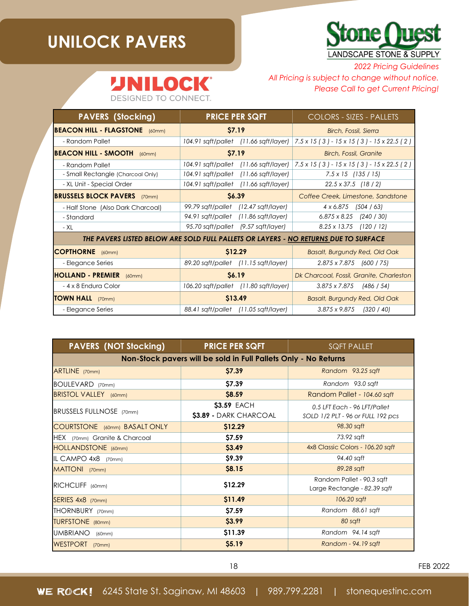## **UNILOCK PAVERS**

Д



*2022 Pricing Guidelines*

## **INILOCK®**

DESIGNED TO CONNECT.

*All Pricing is subject to change without notice. Please Call to get Current Pricing!*

| <b>PAVERS (Stocking)</b>                                                            | <b>PRICE PER SQFT</b>               |                                       | <b>COLORS - SIZES - PALLETS</b>                                                                 |            |
|-------------------------------------------------------------------------------------|-------------------------------------|---------------------------------------|-------------------------------------------------------------------------------------------------|------------|
| <b>BEACON HILL - FLAGSTONE</b> (60mm)                                               | \$7.19                              |                                       | Birch, Fossil, Sierra                                                                           |            |
| - Random Pallet                                                                     |                                     | 104.91 sqft/pallet (11.66 sqft/layer) | $7.5 \times 15$ (3) - 15 x 15 (3) - 15 x 22.5 (2)                                               |            |
| <b>IBEACON HILL - SMOOTH</b> (60mm)                                                 | <b>S7.19</b>                        |                                       | Birch, Fossil, Granite                                                                          |            |
| - Random Pallet                                                                     |                                     |                                       | 104.91 sqft/pallet (11.66 sqft/layer) $ 7.5 \times 15(3) - 15 \times 15(3) - 15 \times 22.5(2)$ |            |
| - Small Rectangle (Charcoal Only)                                                   |                                     | 104.91 sqft/pallet (11.66 sqft/layer) | 7.5 x 15 (135 / 15)                                                                             |            |
| - XL Unit - Special Order                                                           |                                     | 104.91 sqft/pallet (11.66 sqft/layer) | $22.5 \times 37.5$ (18/2)                                                                       |            |
| <b>BRUSSELS BLOCK PAVERS</b> (70mm)                                                 | <b>S6.39</b>                        |                                       | Coffee Creek, Limestone, Sandstone                                                              |            |
| - Half Stone (Also Dark Charcoal)                                                   |                                     | 99.79 sqft/pallet (12.47 sqft/layer)  | $4 \times 6.875$ (504 / 63)                                                                     |            |
| - Standard                                                                          |                                     | 94.91 sqft/pallet (11.86 sqft/layer)  | $6.875 \times 8.25$ (240 / 30)                                                                  |            |
| - XL                                                                                | 95.70 sqft/pallet (9.57 sqft/layer) |                                       | $8.25 \times 13.75$ (120 / 12)                                                                  |            |
| THE PAVERS LISTED BELOW ARE SOLD FULL PALLETS OR LAYERS - NO RETURNS DUE TO SURFACE |                                     |                                       |                                                                                                 |            |
| <b>COPTHORNE</b> (60mm)                                                             | \$12.29                             |                                       | Basalt, Burgundy Red, Old Oak                                                                   |            |
| - Elegance Series                                                                   |                                     | 89.20 sqft/pallet (11.15 sqft/layer)  | $2.875 \times 7.875$ (600 / 75)                                                                 |            |
| <b>HOLLAND - PREMIER</b> (60mm)                                                     | <b>S6.19</b>                        |                                       | Dk Charcoal, Fossil, Granite, Charleston                                                        |            |
| - 4 x 8 Endura Color                                                                |                                     | 106.20 sqft/pallet (11.80 sqft/layer) | 3.875 x 7.875                                                                                   | (486 / 54) |
| <b>TOWN HALL</b> (70mm)                                                             | \$13.49                             |                                       | Basalt, Burgundy Red, Old Oak                                                                   |            |
| - Elegance Series                                                                   |                                     | 88.41 sqft/pallet (11.05 sqft/layer)  | $3.875 \times 9.875$ (320 / 40)                                                                 |            |

| <b>PAVERS (NOT Stocking)</b>                                    | <b>PRICE PER SQFT</b>                        | <b>SQFT PALLET</b>                                                |  |  |
|-----------------------------------------------------------------|----------------------------------------------|-------------------------------------------------------------------|--|--|
| Non-Stock pavers will be sold in Full Pallets Only - No Returns |                                              |                                                                   |  |  |
| ARTLINE (70mm)                                                  | <b>S7.39</b>                                 | Random 93.25 saft                                                 |  |  |
| BOULEVARD (70mm)                                                | \$7.39                                       | Random 93.0 saft                                                  |  |  |
| <b>BRISTOL VALLEY</b> (60mm)                                    | \$8.59                                       | Random Pallet - 104.60 sqft                                       |  |  |
| <b>BRUSSELS FULLNOSE</b> (70mm)                                 | <b>\$3.59 EACH</b><br>\$3.89 - DARK CHARCOAL | 0.5 LFT Each - 96 LFT/Pallet<br>SOLD 1/2 PLT - 96 or FULL 192 pcs |  |  |
| COURTSTONE (60mm) BASALT ONLY                                   | \$12.29                                      | 98.30 sqft                                                        |  |  |
| HEX (70mm) Granite & Charcoal                                   | \$7.59                                       | 73.92 sqft                                                        |  |  |
| HOLLANDSTONE (60mm)                                             | \$3.49                                       | 4x8 Classic Colors - 106.20 sqft                                  |  |  |
| IL CAMPO 4x8 (70mm)                                             | \$9.39                                       | 94.40 sqft                                                        |  |  |
| MATTONI (70mm)                                                  | \$8.15                                       | 89.28 sqft                                                        |  |  |
| RICHCLIFF (60mm)                                                | \$12.29                                      | Random Pallet - 90.3 saft<br>Large Rectangle - 82.39 sqft         |  |  |
| SERIES 4x8 (70mm)                                               | \$11.49                                      | 106.20 sqft                                                       |  |  |
| THORNBURY (70mm)                                                | \$7.59                                       | Random 88.61 sqft                                                 |  |  |
| <b>TURFSTONE</b> (80mm)                                         | \$3.99                                       | 80 sqft                                                           |  |  |
| UMBRIANO (60mm)                                                 | \$11.39                                      | Random 94.14 saft                                                 |  |  |
| WESTPORT (70mm)                                                 | \$5.19                                       | Random - 94.19 saft                                               |  |  |

FEB 2022